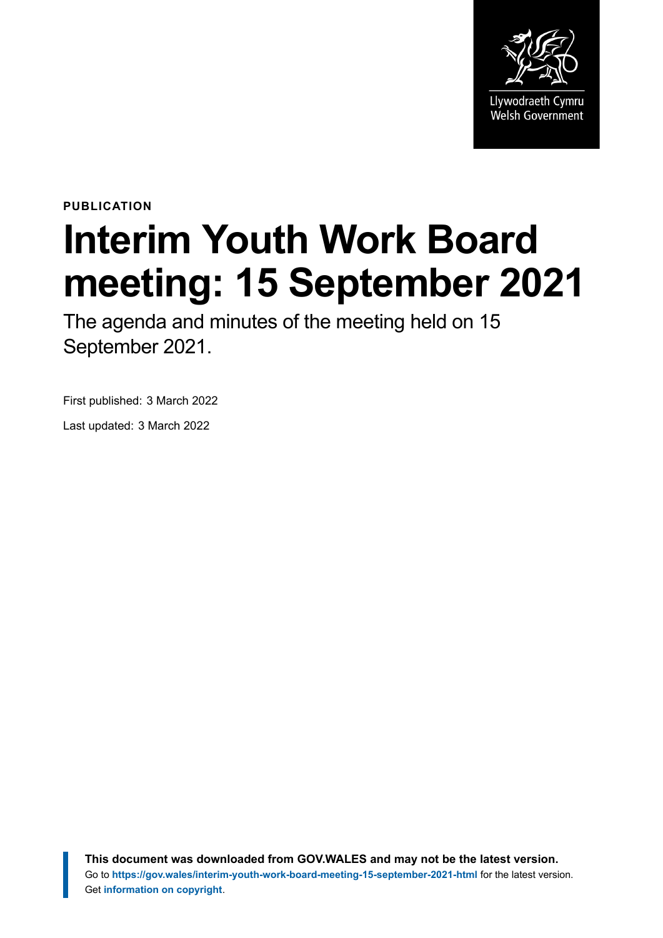

**PUBLICATION**

# **Interim Youth Work Board meeting: 15 September 2021**

The agenda and minutes of the meeting held on 15 September 2021.

First published: 3 March 2022

Last updated: 3 March 2022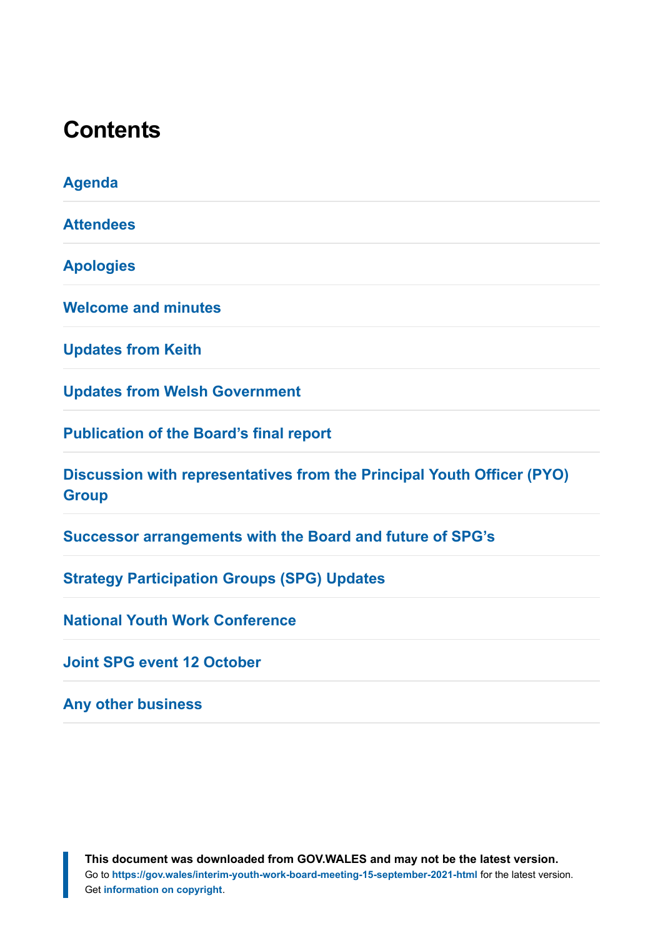#### **Contents**

**[Agenda](#page-2-0) [Attendees](#page-3-0) [Apologies](#page-4-0) [Welcome and minutes](#page-4-1) [Updates from Keith](#page-4-2) [Updates from Welsh Government](#page-5-0) [Publication of the Board's final report](#page-5-1) [Discussion with representatives from the Principal Youth Officer \(PYO\)](#page-6-0) [Group](#page-6-0) [Successor arrangements with the Board and future of SPG's](#page-6-1) [Strategy Participation Groups \(SPG\) Updates](#page-7-0) [National Youth Work Conference](#page-8-0) [Joint SPG event 12 October](#page-8-1) [Any other business](#page-9-0)**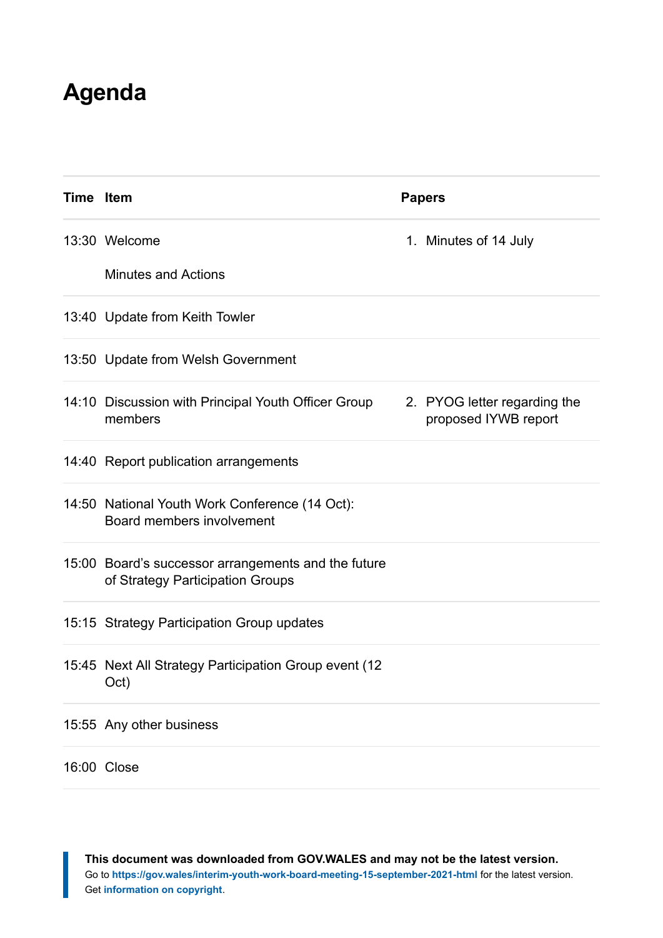### <span id="page-2-0"></span>**Agenda**

| Time Item |                                                                                         | <b>Papers</b>                                        |
|-----------|-----------------------------------------------------------------------------------------|------------------------------------------------------|
|           | 13:30 Welcome                                                                           | 1. Minutes of 14 July                                |
|           | <b>Minutes and Actions</b>                                                              |                                                      |
|           | 13:40 Update from Keith Towler                                                          |                                                      |
|           | 13:50 Update from Welsh Government                                                      |                                                      |
|           | 14:10 Discussion with Principal Youth Officer Group<br>members                          | 2. PYOG letter regarding the<br>proposed IYWB report |
|           | 14:40 Report publication arrangements                                                   |                                                      |
|           | 14:50 National Youth Work Conference (14 Oct):<br>Board members involvement             |                                                      |
|           | 15:00 Board's successor arrangements and the future<br>of Strategy Participation Groups |                                                      |
|           | 15:15 Strategy Participation Group updates                                              |                                                      |
|           | 15:45 Next All Strategy Participation Group event (12<br>Oct)                           |                                                      |
|           | 15:55 Any other business                                                                |                                                      |
|           | 16:00 Close                                                                             |                                                      |

**This document was downloaded from GOV.WALES and may not be the latest version.** Go to **<https://gov.wales/interim-youth-work-board-meeting-15-september-2021-html>** for the latest version. Get **[information on copyright](https://gov.wales/copyright-statement)**.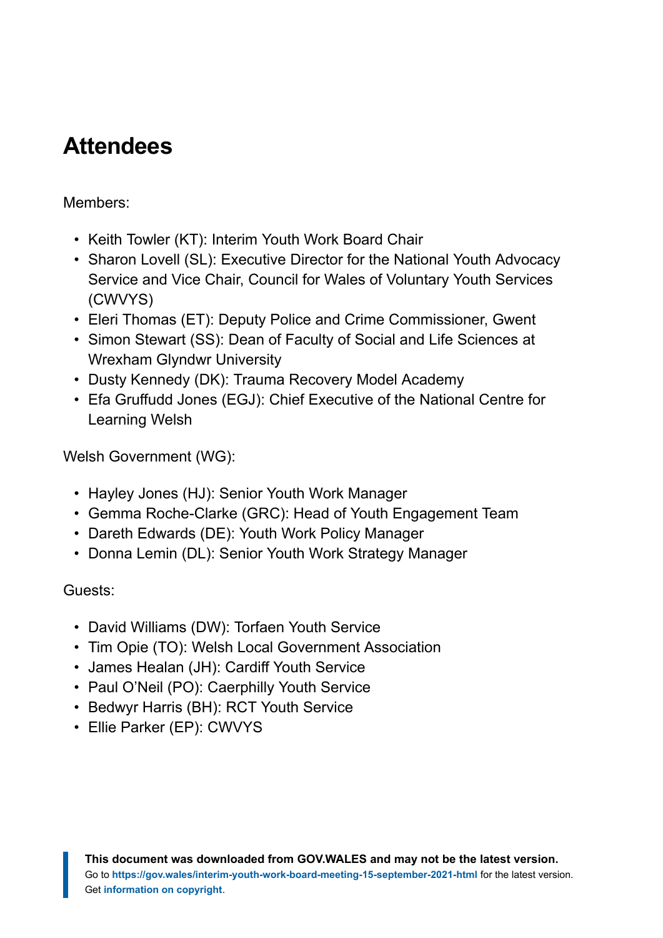# <span id="page-3-0"></span>**Attendees**

#### Members:

- Keith Towler (KT): Interim Youth Work Board Chair
- Sharon Lovell (SL): Executive Director for the National Youth Advocacy Service and Vice Chair, Council for Wales of Voluntary Youth Services (CWVYS)
- Eleri Thomas (ET): Deputy Police and Crime Commissioner, Gwent
- Simon Stewart (SS): Dean of Faculty of Social and Life Sciences at Wrexham Glyndwr University
- Dusty Kennedy (DK): Trauma Recovery Model Academy
- Efa Gruffudd Jones (EGJ): Chief Executive of the National Centre for Learning Welsh

Welsh Government (WG):

- Hayley Jones (HJ): Senior Youth Work Manager
- Gemma Roche-Clarke (GRC): Head of Youth Engagement Team
- Dareth Edwards (DE): Youth Work Policy Manager
- Donna Lemin (DL): Senior Youth Work Strategy Manager

#### Guests:

- David Williams (DW): Torfaen Youth Service
- Tim Opie (TO): Welsh Local Government Association
- James Healan (JH): Cardiff Youth Service
- Paul O'Neil (PO): Caerphilly Youth Service
- Bedwyr Harris (BH): RCT Youth Service
- Ellie Parker (EP): CWVYS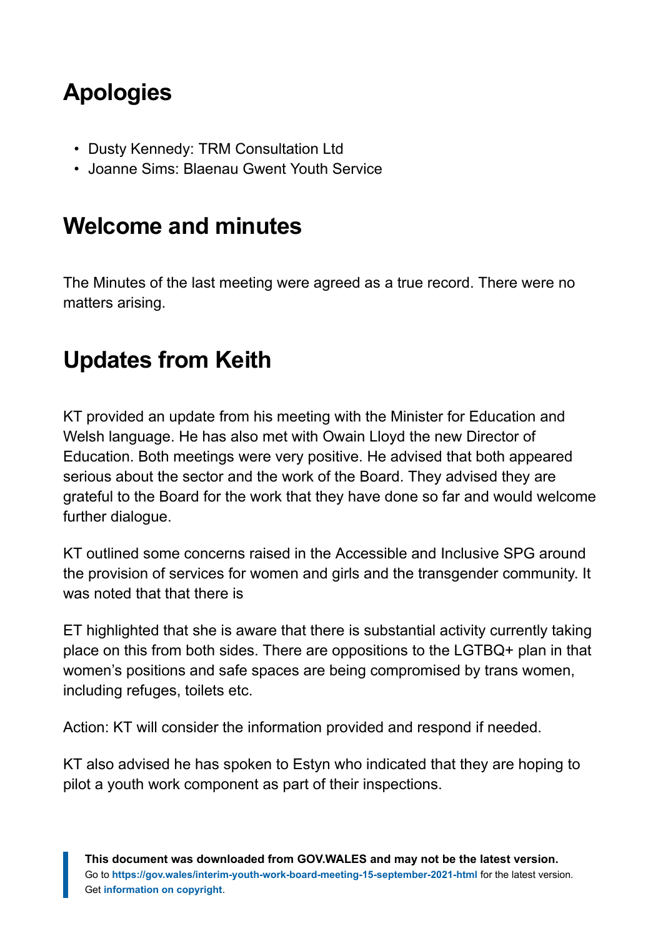# <span id="page-4-0"></span>**Apologies**

- Dusty Kennedy: TRM Consultation Ltd
- Joanne Sims: Blaenau Gwent Youth Service

#### <span id="page-4-1"></span>**Welcome and minutes**

The Minutes of the last meeting were agreed as a true record. There were no matters arising.

# <span id="page-4-2"></span>**Updates from Keith**

KT provided an update from his meeting with the Minister for Education and Welsh language. He has also met with Owain Lloyd the new Director of Education. Both meetings were very positive. He advised that both appeared serious about the sector and the work of the Board. They advised they are grateful to the Board for the work that they have done so far and would welcome further dialogue.

KT outlined some concerns raised in the Accessible and Inclusive SPG around the provision of services for women and girls and the transgender community. It was noted that that there is

ET highlighted that she is aware that there is substantial activity currently taking place on this from both sides. There are oppositions to the LGTBQ+ plan in that women's positions and safe spaces are being compromised by trans women, including refuges, toilets etc.

Action: KT will consider the information provided and respond if needed.

KT also advised he has spoken to Estyn who indicated that they are hoping to pilot a youth work component as part of their inspections.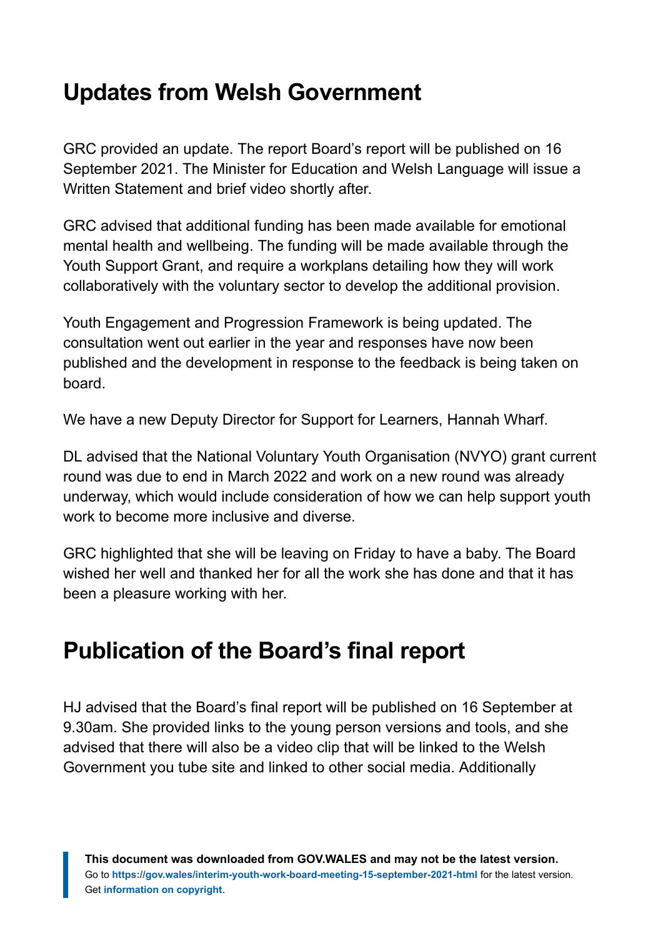## <span id="page-5-0"></span>**Updates from Welsh Government**

GRC provided an update. The report Board's report will be published on 16 September 2021. The Minister for Education and Welsh Language will issue a Written Statement and brief video shortly after.

GRC advised that additional funding has been made available for emotional mental health and wellbeing. The funding will be made available through the Youth Support Grant, and require a workplans detailing how they will work collaboratively with the voluntary sector to develop the additional provision.

Youth Engagement and Progression Framework is being updated. The consultation went out earlier in the year and responses have now been published and the development in response to the feedback is being taken on board.

We have a new Deputy Director for Support for Learners, Hannah Wharf.

DL advised that the National Voluntary Youth Organisation (NVYO) grant current round was due to end in March 2022 and work on a new round was already underway, which would include consideration of how we can help support youth work to become more inclusive and diverse.

GRC highlighted that she will be leaving on Friday to have a baby. The Board wished her well and thanked her for all the work she has done and that it has been a pleasure working with her.

#### <span id="page-5-1"></span>**Publication of the Board's final report**

HJ advised that the Board's final report will be published on 16 September at 9.30am. She provided links to the young person versions and tools, and she advised that there will also be a video clip that will be linked to the Welsh Government you tube site and linked to other social media. Additionally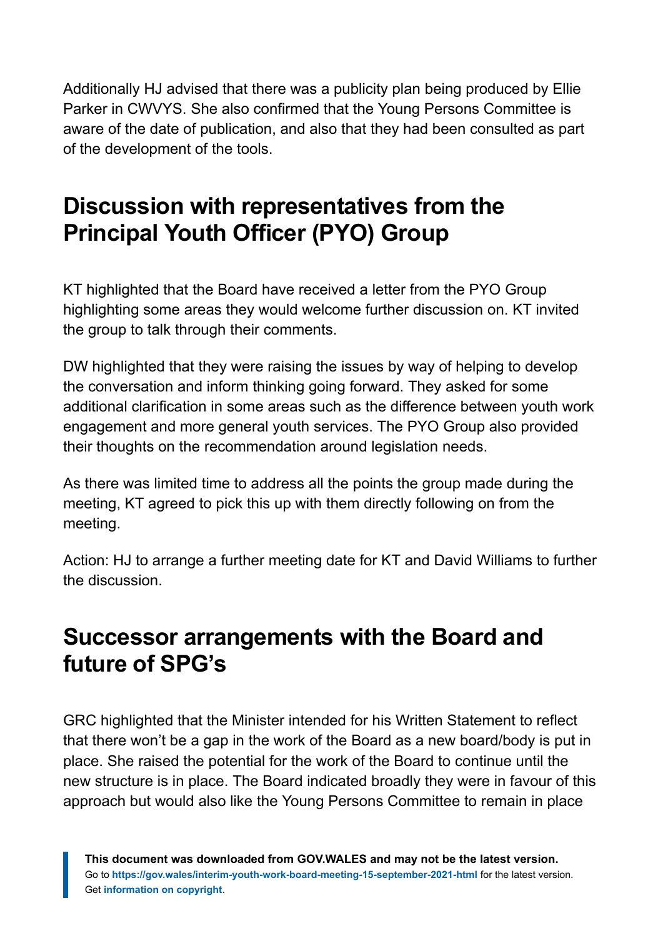Additionally HJ advised that there was a publicity plan being produced by Ellie Parker in CWVYS. She also confirmed that the Young Persons Committee is aware of the date of publication, and also that they had been consulted as part of the development of the tools.

### <span id="page-6-0"></span>**Discussion with representatives from the Principal Youth Officer (PYO) Group**

KT highlighted that the Board have received a letter from the PYO Group highlighting some areas they would welcome further discussion on. KT invited the group to talk through their comments.

DW highlighted that they were raising the issues by way of helping to develop the conversation and inform thinking going forward. They asked for some additional clarification in some areas such as the difference between youth work engagement and more general youth services. The PYO Group also provided their thoughts on the recommendation around legislation needs.

As there was limited time to address all the points the group made during the meeting, KT agreed to pick this up with them directly following on from the meeting.

Action: HJ to arrange a further meeting date for KT and David Williams to further the discussion.

#### <span id="page-6-1"></span>**Successor arrangements with the Board and future of SPG's**

GRC highlighted that the Minister intended for his Written Statement to reflect that there won't be a gap in the work of the Board as a new board/body is put in place. She raised the potential for the work of the Board to continue until the new structure is in place. The Board indicated broadly they were in favour of this approach but would also like the Young Persons Committee to remain in place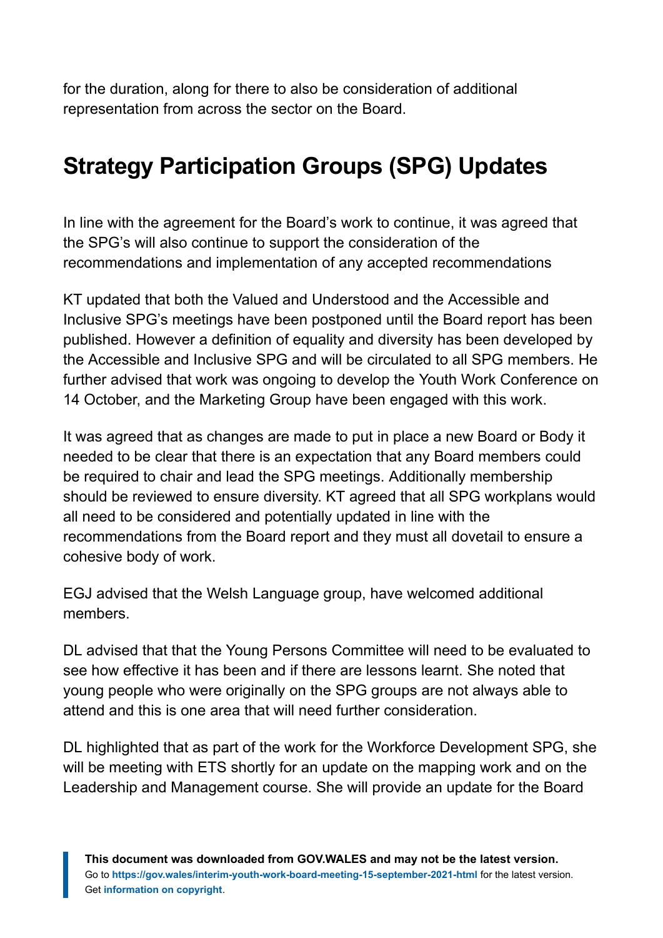for the duration, along for there to also be consideration of additional representation from across the sector on the Board.

# <span id="page-7-0"></span>**Strategy Participation Groups (SPG) Updates**

In line with the agreement for the Board's work to continue, it was agreed that the SPG's will also continue to support the consideration of the recommendations and implementation of any accepted recommendations

KT updated that both the Valued and Understood and the Accessible and Inclusive SPG's meetings have been postponed until the Board report has been published. However a definition of equality and diversity has been developed by the Accessible and Inclusive SPG and will be circulated to all SPG members. He further advised that work was ongoing to develop the Youth Work Conference on 14 October, and the Marketing Group have been engaged with this work.

It was agreed that as changes are made to put in place a new Board or Body it needed to be clear that there is an expectation that any Board members could be required to chair and lead the SPG meetings. Additionally membership should be reviewed to ensure diversity. KT agreed that all SPG workplans would all need to be considered and potentially updated in line with the recommendations from the Board report and they must all dovetail to ensure a cohesive body of work.

EGJ advised that the Welsh Language group, have welcomed additional members.

DL advised that that the Young Persons Committee will need to be evaluated to see how effective it has been and if there are lessons learnt. She noted that young people who were originally on the SPG groups are not always able to attend and this is one area that will need further consideration.

DL highlighted that as part of the work for the Workforce Development SPG, she will be meeting with ETS shortly for an update on the mapping work and on the Leadership and Management course. She will provide an update for the Board

**This document was downloaded from GOV.WALES and may not be the latest version.** Go to **<https://gov.wales/interim-youth-work-board-meeting-15-september-2021-html>** for the latest version. Get **[information on copyright](https://gov.wales/copyright-statement)**.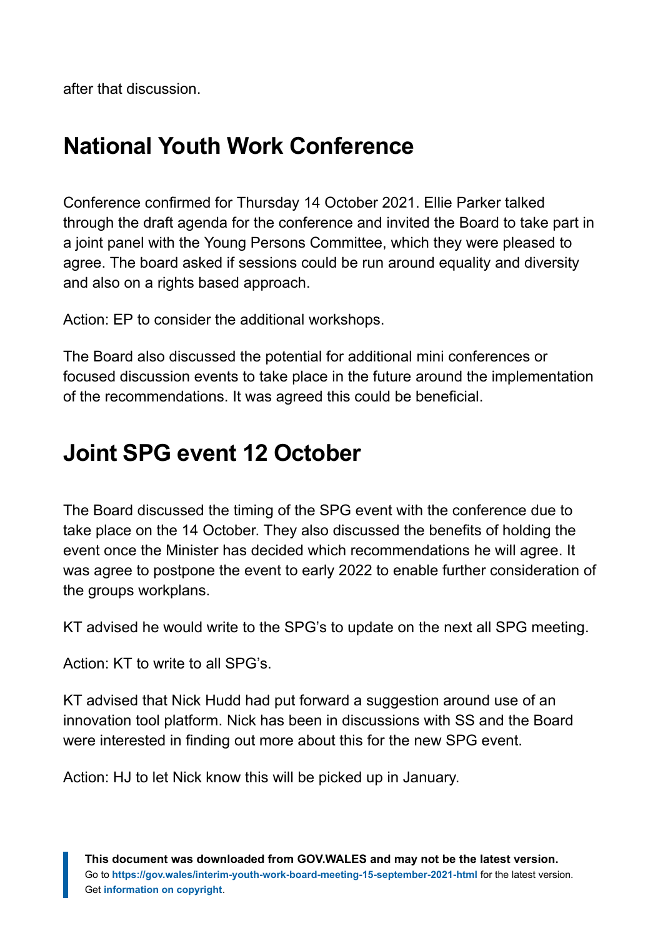after that discussion.

## <span id="page-8-0"></span>**National Youth Work Conference**

Conference confirmed for Thursday 14 October 2021. Ellie Parker talked through the draft agenda for the conference and invited the Board to take part in a joint panel with the Young Persons Committee, which they were pleased to agree. The board asked if sessions could be run around equality and diversity and also on a rights based approach.

Action: EP to consider the additional workshops.

The Board also discussed the potential for additional mini conferences or focused discussion events to take place in the future around the implementation of the recommendations. It was agreed this could be beneficial.

# <span id="page-8-1"></span>**Joint SPG event 12 October**

The Board discussed the timing of the SPG event with the conference due to take place on the 14 October. They also discussed the benefits of holding the event once the Minister has decided which recommendations he will agree. It was agree to postpone the event to early 2022 to enable further consideration of the groups workplans.

KT advised he would write to the SPG's to update on the next all SPG meeting.

Action: KT to write to all SPG's.

KT advised that Nick Hudd had put forward a suggestion around use of an innovation tool platform. Nick has been in discussions with SS and the Board were interested in finding out more about this for the new SPG event.

Action: HJ to let Nick know this will be picked up in January.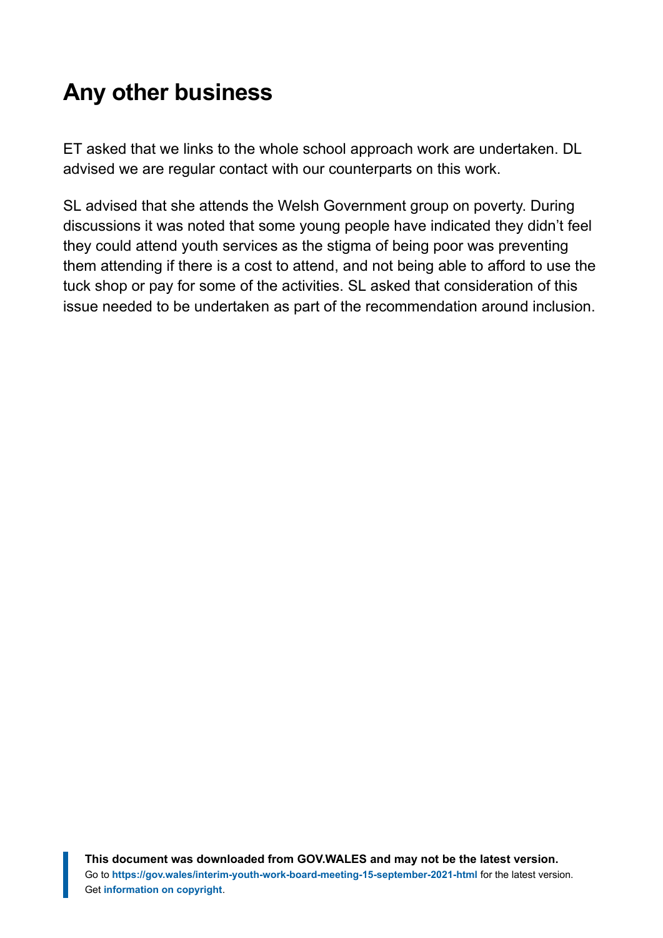# <span id="page-9-0"></span>**Any other business**

ET asked that we links to the whole school approach work are undertaken. DL advised we are regular contact with our counterparts on this work.

SL advised that she attends the Welsh Government group on poverty. During discussions it was noted that some young people have indicated they didn't feel they could attend youth services as the stigma of being poor was preventing them attending if there is a cost to attend, and not being able to afford to use the tuck shop or pay for some of the activities. SL asked that consideration of this issue needed to be undertaken as part of the recommendation around inclusion.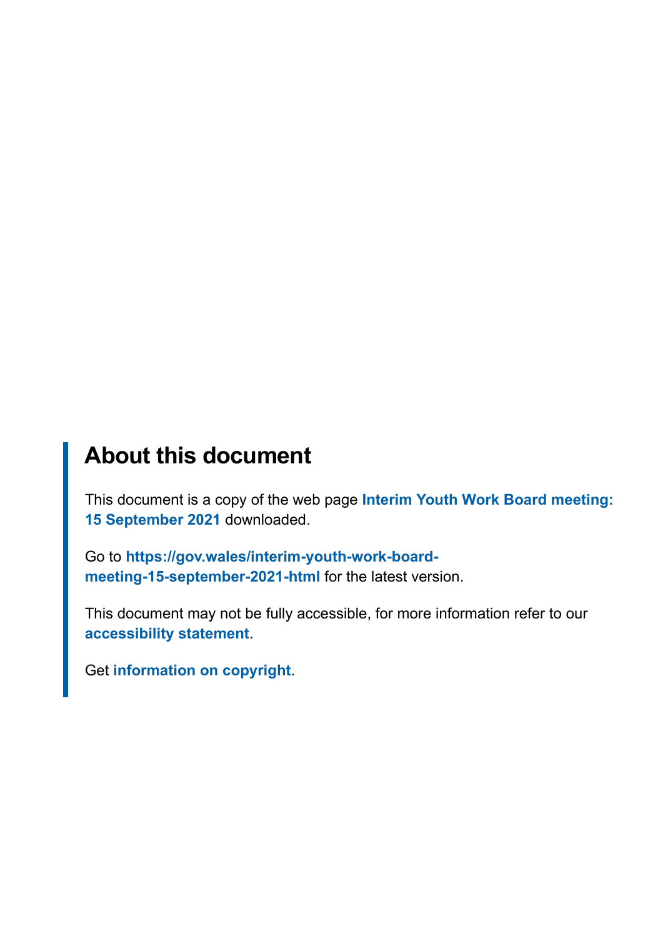#### **About this document**

This document is a copy of the web page **[Interim Youth Work Board meeting:](https://gov.wales/interim-youth-work-board-meeting-15-september-2021-html) [15 September 2021](https://gov.wales/interim-youth-work-board-meeting-15-september-2021-html)** downloaded.

Go to **[https://gov.wales/interim-youth-work-board](https://gov.wales/interim-youth-work-board-meeting-15-september-2021-html)[meeting-15-september-2021-html](https://gov.wales/interim-youth-work-board-meeting-15-september-2021-html)** for the latest version.

This document may not be fully accessible, for more information refer to our **[accessibility statement](https://gov.wales/accessibility-statement-govwales)**.

Get **[information on copyright](https://gov.wales/copyright-statement)**.